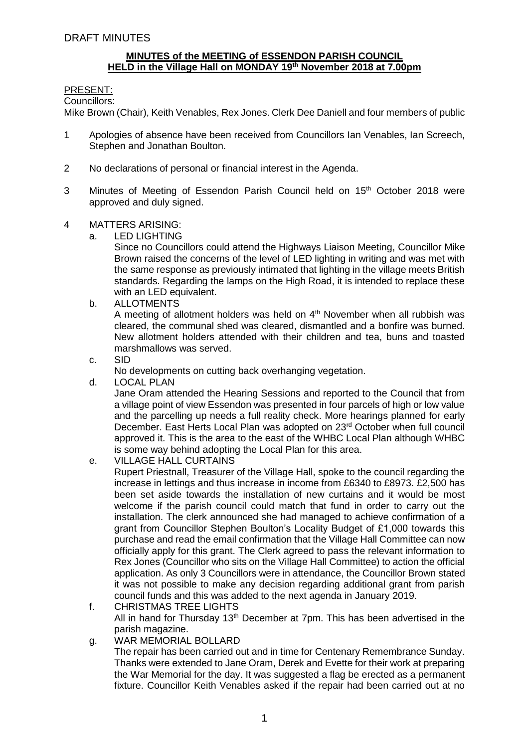## **MINUTES of the MEETING of ESSENDON PARISH COUNCIL HELD in the Village Hall on MONDAY 19 th November 2018 at 7.00pm**

### PRESENT:

Councillors:

Mike Brown (Chair), Keith Venables, Rex Jones. Clerk Dee Daniell and four members of public

- 1 Apologies of absence have been received from Councillors Ian Venables, Ian Screech, Stephen and Jonathan Boulton.
- 2 No declarations of personal or financial interest in the Agenda.
- 3 Minutes of Meeting of Essendon Parish Council held on 15<sup>th</sup> October 2018 were approved and duly signed.
- 4 MATTERS ARISING:
	- a. LED LIGHTING

Since no Councillors could attend the Highways Liaison Meeting, Councillor Mike Brown raised the concerns of the level of LED lighting in writing and was met with the same response as previously intimated that lighting in the village meets British standards. Regarding the lamps on the High Road, it is intended to replace these with an LED equivalent.

b. ALLOTMENTS

A meeting of allotment holders was held on  $4<sup>th</sup>$  November when all rubbish was cleared, the communal shed was cleared, dismantled and a bonfire was burned. New allotment holders attended with their children and tea, buns and toasted marshmallows was served.

c. SID

No developments on cutting back overhanging vegetation.

d. LOCAL PLAN

Jane Oram attended the Hearing Sessions and reported to the Council that from a village point of view Essendon was presented in four parcels of high or low value and the parcelling up needs a full reality check. More hearings planned for early December. East Herts Local Plan was adopted on 23<sup>rd</sup> October when full council approved it. This is the area to the east of the WHBC Local Plan although WHBC is some way behind adopting the Local Plan for this area.

e. VILLAGE HALL CURTAINS

Rupert Priestnall, Treasurer of the Village Hall, spoke to the council regarding the increase in lettings and thus increase in income from £6340 to £8973. £2,500 has been set aside towards the installation of new curtains and it would be most welcome if the parish council could match that fund in order to carry out the installation. The clerk announced she had managed to achieve confirmation of a grant from Councillor Stephen Boulton's Locality Budget of £1,000 towards this purchase and read the email confirmation that the Village Hall Committee can now officially apply for this grant. The Clerk agreed to pass the relevant information to Rex Jones (Councillor who sits on the Village Hall Committee) to action the official application. As only 3 Councillors were in attendance, the Councillor Brown stated it was not possible to make any decision regarding additional grant from parish council funds and this was added to the next agenda in January 2019.

- f. CHRISTMAS TREE LIGHTS All in hand for Thursday 13<sup>th</sup> December at 7pm. This has been advertised in the parish magazine.
- g. WAR MEMORIAL BOLLARD

The repair has been carried out and in time for Centenary Remembrance Sunday. Thanks were extended to Jane Oram, Derek and Evette for their work at preparing the War Memorial for the day. It was suggested a flag be erected as a permanent fixture. Councillor Keith Venables asked if the repair had been carried out at no